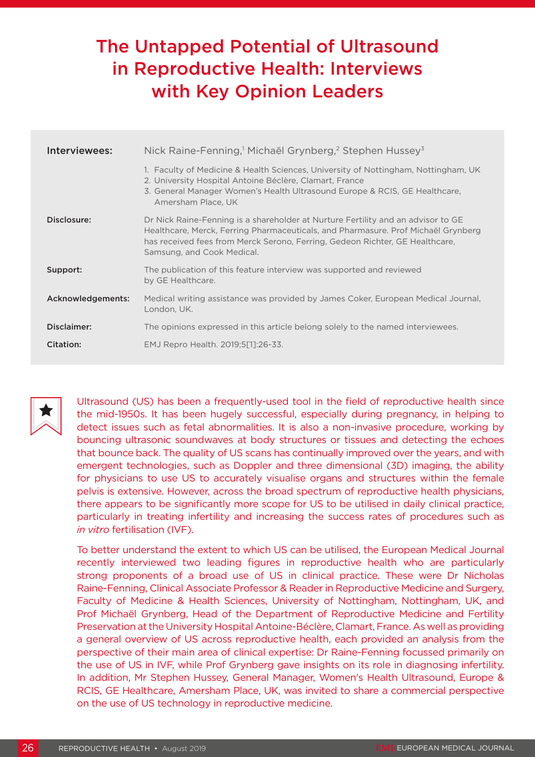# The Untapped Potential of Ultrasound in Reproductive Health: Interviews with Key Opinion Leaders

| Interviewees:     | Nick Raine-Fenning, <sup>1</sup> Michaël Grynberg, <sup>2</sup> Stephen Hussey <sup>3</sup>                                                                                                                                                                                         |
|-------------------|-------------------------------------------------------------------------------------------------------------------------------------------------------------------------------------------------------------------------------------------------------------------------------------|
|                   | 1. Faculty of Medicine & Health Sciences, University of Nottingham, Nottingham, UK<br>2. University Hospital Antoine Béclère, Clamart, France<br>3. General Manager Women's Health Ultrasound Europe & RCIS, GE Healthcare,<br>Amersham Place, UK                                   |
| Disclosure:       | Dr Nick Raine-Fenning is a shareholder at Nurture Fertility and an advisor to GE<br>Healthcare, Merck, Ferring Pharmaceuticals, and Pharmasure. Prof Michaël Grynberg<br>has received fees from Merck Serono, Ferring, Gedeon Richter, GE Healthcare,<br>Samsung, and Cook Medical. |
| Support:          | The publication of this feature interview was supported and reviewed<br>by GE Healthcare.                                                                                                                                                                                           |
| Acknowledgements: | Medical writing assistance was provided by James Coker, European Medical Journal,<br>London, UK.                                                                                                                                                                                    |
| Disclaimer:       | The opinions expressed in this article belong solely to the named interviewees.                                                                                                                                                                                                     |
| Citation:         | EMJ Repro Health. 2019;5[1]:26-33.                                                                                                                                                                                                                                                  |



Ultrasound (US) has been a frequently-used tool in the field of reproductive health since the mid-1950s. It has been hugely successful, especially during pregnancy, in helping to detect issues such as fetal abnormalities. It is also a non-invasive procedure, working by bouncing ultrasonic soundwaves at body structures or tissues and detecting the echoes that bounce back. The quality of US scans has continually improved over the years, and with emergent technologies, such as Doppler and three dimensional (3D) imaging, the ability for physicians to use US to accurately visualise organs and structures within the female pelvis is extensive. However, across the broad spectrum of reproductive health physicians, there appears to be significantly more scope for US to be utilised in daily clinical practice, particularly in treating infertility and increasing the success rates of procedures such as *in vitro* fertilisation (IVF).

To better understand the extent to which US can be utilised, the European Medical Journal recently interviewed two leading figures in reproductive health who are particularly strong proponents of a broad use of US in clinical practice. These were Dr Nicholas Raine-Fenning, Clinical Associate Professor & Reader in Reproductive Medicine and Surgery, Faculty of Medicine & Health Sciences, University of Nottingham, Nottingham, UK, and Prof Michaël Grynberg, Head of the Department of Reproductive Medicine and Fertility Preservation at the University Hospital Antoine-Béclère, Clamart, France. As well as providing a general overview of US across reproductive health, each provided an analysis from the perspective of their main area of clinical expertise: Dr Raine-Fenning focussed primarily on the use of US in IVF, while Prof Grynberg gave insights on its role in diagnosing infertility. In addition, Mr Stephen Hussey, General Manager, Women's Health Ultrasound, Europe & RCIS, GE Healthcare, Amersham Place, UK, was invited to share a commercial perspective on the use of US technology in reproductive medicine.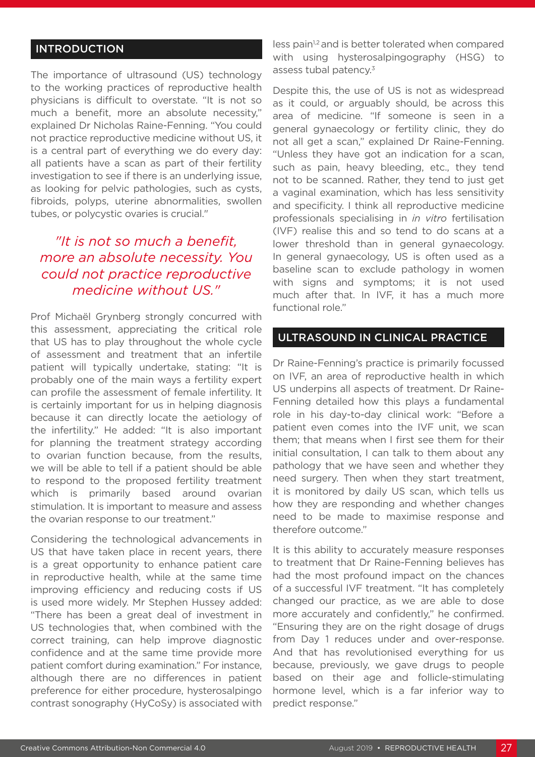### INTRODUCTION

The importance of ultrasound (US) technology to the working practices of reproductive health physicians is difficult to overstate. "It is not so much a benefit, more an absolute necessity," explained Dr Nicholas Raine-Fenning. "You could not practice reproductive medicine without US, it is a central part of everything we do every day: all patients have a scan as part of their fertility investigation to see if there is an underlying issue, as looking for pelvic pathologies, such as cysts, fibroids, polyps, uterine abnormalities, swollen tubes, or polycystic ovaries is crucial."

### *"It is not so much a benefit, more an absolute necessity. You could not practice reproductive medicine without US."*

Prof Michaël Grynberg strongly concurred with this assessment, appreciating the critical role that US has to play throughout the whole cycle of assessment and treatment that an infertile patient will typically undertake, stating: "It is probably one of the main ways a fertility expert can profile the assessment of female infertility. It is certainly important for us in helping diagnosis because it can directly locate the aetiology of the infertility." He added: "It is also important for planning the treatment strategy according to ovarian function because, from the results, we will be able to tell if a patient should be able to respond to the proposed fertility treatment which is primarily based around ovarian stimulation. It is important to measure and assess the ovarian response to our treatment."

Considering the technological advancements in US that have taken place in recent years, there is a great opportunity to enhance patient care in reproductive health, while at the same time improving efficiency and reducing costs if US is used more widely. Mr Stephen Hussey added: "There has been a great deal of investment in US technologies that, when combined with the correct training, can help improve diagnostic confidence and at the same time provide more patient comfort during examination." For instance, although there are no differences in patient preference for either procedure, hysterosalpingo contrast sonography (HyCoSy) is associated with

less pain<sup>1,2</sup> and is better tolerated when compared with using hysterosalpingography (HSG) to assess tubal patency.<sup>3</sup>

Despite this, the use of US is not as widespread as it could, or arguably should, be across this area of medicine. "If someone is seen in a general gynaecology or fertility clinic, they do not all get a scan," explained Dr Raine-Fenning. "Unless they have got an indication for a scan, such as pain, heavy bleeding, etc., they tend not to be scanned. Rather, they tend to just get a vaginal examination, which has less sensitivity and specificity. I think all reproductive medicine professionals specialising in *in vitro* fertilisation (IVF) realise this and so tend to do scans at a lower threshold than in general gynaecology. In general gynaecology, US is often used as a baseline scan to exclude pathology in women with signs and symptoms; it is not used much after that. In IVF, it has a much more functional role."

#### ULTRASOUND IN CLINICAL PRACTICE

Dr Raine-Fenning's practice is primarily focussed on IVF, an area of reproductive health in which US underpins all aspects of treatment. Dr Raine-Fenning detailed how this plays a fundamental role in his day-to-day clinical work: "Before a patient even comes into the IVF unit, we scan them; that means when I first see them for their initial consultation, I can talk to them about any pathology that we have seen and whether they need surgery. Then when they start treatment, it is monitored by daily US scan, which tells us how they are responding and whether changes need to be made to maximise response and therefore outcome."

It is this ability to accurately measure responses to treatment that Dr Raine-Fenning believes has had the most profound impact on the chances of a successful IVF treatment. "It has completely changed our practice, as we are able to dose more accurately and confidently," he confirmed. "Ensuring they are on the right dosage of drugs from Day 1 reduces under and over-response. And that has revolutionised everything for us because, previously, we gave drugs to people based on their age and follicle-stimulating hormone level, which is a far inferior way to predict response."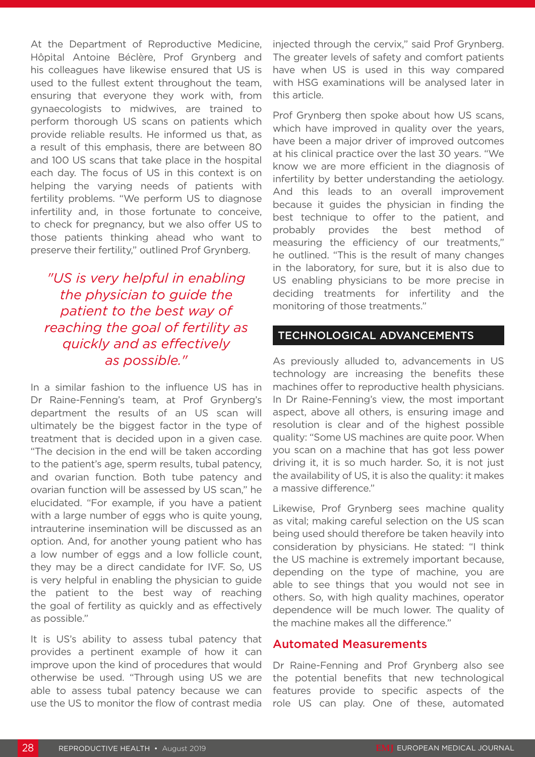At the Department of Reproductive Medicine, Hôpital Antoine Béclère, Prof Grynberg and his colleagues have likewise ensured that US is used to the fullest extent throughout the team, ensuring that everyone they work with, from gynaecologists to midwives, are trained to perform thorough US scans on patients which provide reliable results. He informed us that, as a result of this emphasis, there are between 80 and 100 US scans that take place in the hospital each day. The focus of US in this context is on helping the varying needs of patients with fertility problems. "We perform US to diagnose infertility and, in those fortunate to conceive, to check for pregnancy, but we also offer US to those patients thinking ahead who want to preserve their fertility," outlined Prof Grynberg.

### *"US is very helpful in enabling the physician to guide the patient to the best way of reaching the goal of fertility as quickly and as effectively as possible."*

In a similar fashion to the influence US has in Dr Raine-Fenning's team, at Prof Grynberg's department the results of an US scan will ultimately be the biggest factor in the type of treatment that is decided upon in a given case. "The decision in the end will be taken according to the patient's age, sperm results, tubal patency, and ovarian function. Both tube patency and ovarian function will be assessed by US scan," he elucidated. "For example, if you have a patient with a large number of eggs who is quite young, intrauterine insemination will be discussed as an option. And, for another young patient who has a low number of eggs and a low follicle count, they may be a direct candidate for IVF. So, US is very helpful in enabling the physician to guide the patient to the best way of reaching the goal of fertility as quickly and as effectively as possible."

It is US's ability to assess tubal patency that provides a pertinent example of how it can improve upon the kind of procedures that would otherwise be used. "Through using US we are able to assess tubal patency because we can use the US to monitor the flow of contrast media

injected through the cervix," said Prof Grynberg. The greater levels of safety and comfort patients have when US is used in this way compared with HSG examinations will be analysed later in this article.

Prof Grynberg then spoke about how US scans, which have improved in quality over the years, have been a major driver of improved outcomes at his clinical practice over the last 30 years. "We know we are more efficient in the diagnosis of infertility by better understanding the aetiology. And this leads to an overall improvement because it guides the physician in finding the best technique to offer to the patient, and probably provides the best method of measuring the efficiency of our treatments," he outlined. "This is the result of many changes in the laboratory, for sure, but it is also due to US enabling physicians to be more precise in deciding treatments for infertility and the monitoring of those treatments."

### TECHNOLOGICAL ADVANCEMENTS

As previously alluded to, advancements in US technology are increasing the benefits these machines offer to reproductive health physicians. In Dr Raine-Fenning's view, the most important aspect, above all others, is ensuring image and resolution is clear and of the highest possible quality: "Some US machines are quite poor. When you scan on a machine that has got less power driving it, it is so much harder. So, it is not just the availability of US, it is also the quality: it makes a massive difference."

Likewise, Prof Grynberg sees machine quality as vital; making careful selection on the US scan being used should therefore be taken heavily into consideration by physicians. He stated: "I think the US machine is extremely important because, depending on the type of machine, you are able to see things that you would not see in others. So, with high quality machines, operator dependence will be much lower. The quality of the machine makes all the difference."

#### Automated Measurements

Dr Raine-Fenning and Prof Grynberg also see the potential benefits that new technological features provide to specific aspects of the role US can play. One of these, automated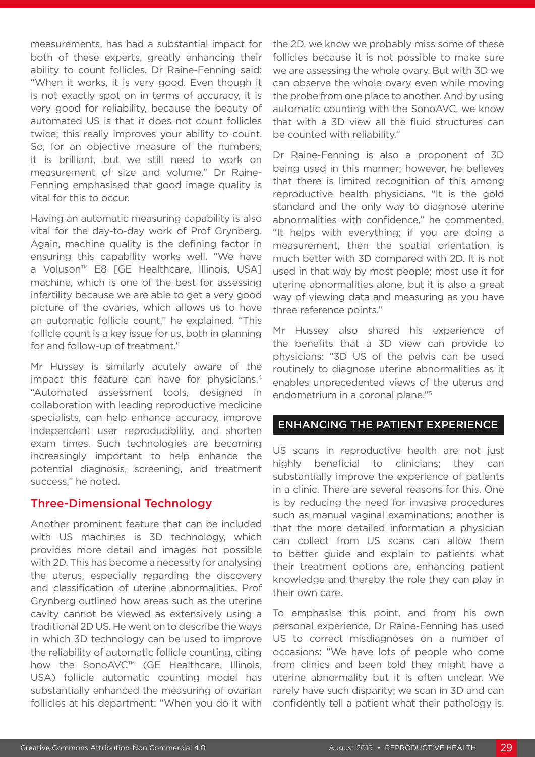measurements, has had a substantial impact for both of these experts, greatly enhancing their ability to count follicles. Dr Raine-Fenning said: "When it works, it is very good. Even though it is not exactly spot on in terms of accuracy, it is very good for reliability, because the beauty of automated US is that it does not count follicles twice; this really improves your ability to count. So, for an objective measure of the numbers, it is brilliant, but we still need to work on measurement of size and volume." Dr Raine-Fenning emphasised that good image quality is vital for this to occur.

Having an automatic measuring capability is also vital for the day-to-day work of Prof Grynberg. Again, machine quality is the defining factor in ensuring this capability works well. "We have a Voluson™ E8 [GE Healthcare, Illinois, USA] machine, which is one of the best for assessing infertility because we are able to get a very good picture of the ovaries, which allows us to have an automatic follicle count," he explained. "This follicle count is a key issue for us, both in planning for and follow-up of treatment."

Mr Hussey is similarly acutely aware of the impact this feature can have for physicians.<sup>4</sup> "Automated assessment tools, designed in collaboration with leading reproductive medicine specialists, can help enhance accuracy, improve independent user reproducibility, and shorten exam times. Such technologies are becoming increasingly important to help enhance the potential diagnosis, screening, and treatment success," he noted.

#### Three-Dimensional Technology

Another prominent feature that can be included with US machines is 3D technology, which provides more detail and images not possible with 2D. This has become a necessity for analysing the uterus, especially regarding the discovery and classification of uterine abnormalities. Prof Grynberg outlined how areas such as the uterine cavity cannot be viewed as extensively using a traditional 2D US. He went on to describe the ways in which 3D technology can be used to improve the reliability of automatic follicle counting, citing how the SonoAVC™ (GE Healthcare, Illinois, USA) follicle automatic counting model has substantially enhanced the measuring of ovarian follicles at his department: "When you do it with

the 2D, we know we probably miss some of these follicles because it is not possible to make sure we are assessing the whole ovary. But with 3D we can observe the whole ovary even while moving the probe from one place to another. And by using automatic counting with the SonoAVC, we know that with a 3D view all the fluid structures can be counted with reliability."

Dr Raine-Fenning is also a proponent of 3D being used in this manner; however, he believes that there is limited recognition of this among reproductive health physicians. "It is the gold standard and the only way to diagnose uterine abnormalities with confidence," he commented. "It helps with everything; if you are doing a measurement, then the spatial orientation is much better with 3D compared with 2D. It is not used in that way by most people; most use it for uterine abnormalities alone, but it is also a great way of viewing data and measuring as you have three reference points."

Mr Hussey also shared his experience of the benefits that a 3D view can provide to physicians: "3D US of the pelvis can be used routinely to diagnose uterine abnormalities as it enables unprecedented views of the uterus and endometrium in a coronal plane."5

### ENHANCING THE PATIENT EXPERIENCE

US scans in reproductive health are not just highly beneficial to clinicians; they can substantially improve the experience of patients in a clinic. There are several reasons for this. One is by reducing the need for invasive procedures such as manual vaginal examinations; another is that the more detailed information a physician can collect from US scans can allow them to better guide and explain to patients what their treatment options are, enhancing patient knowledge and thereby the role they can play in their own care.

To emphasise this point, and from his own personal experience, Dr Raine-Fenning has used US to correct misdiagnoses on a number of occasions: "We have lots of people who come from clinics and been told they might have a uterine abnormality but it is often unclear. We rarely have such disparity; we scan in 3D and can confidently tell a patient what their pathology is.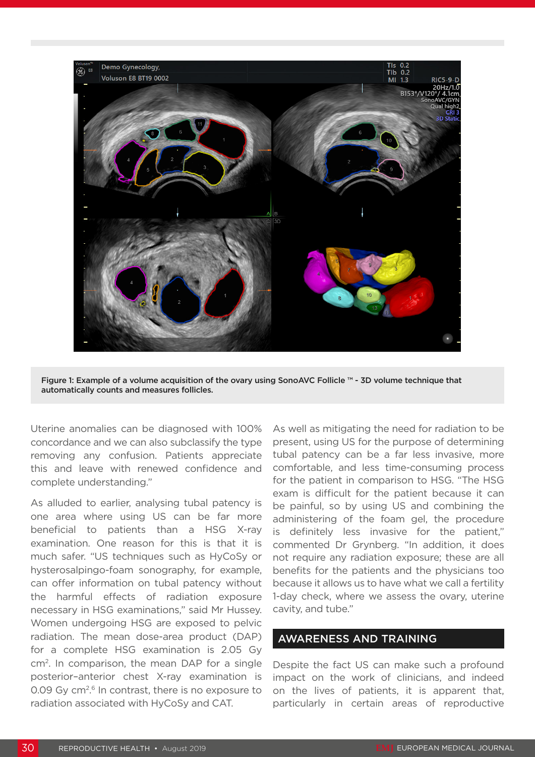

Figure 1: Example of a volume acquisition of the ovary using SonoAVC Follicle ™ - 3D volume technique that automatically counts and measures follicles.

Uterine anomalies can be diagnosed with 100% concordance and we can also subclassify the type removing any confusion. Patients appreciate this and leave with renewed confidence and complete understanding."

As alluded to earlier, analysing tubal patency is one area where using US can be far more beneficial to patients than a HSG X-ray examination. One reason for this is that it is much safer. "US techniques such as HyCoSy or hysterosalpingo-foam sonography, for example, can offer information on tubal patency without the harmful effects of radiation exposure necessary in HSG examinations," said Mr Hussey. Women undergoing HSG are exposed to pelvic radiation. The mean dose-area product (DAP) for a complete HSG examination is 2.05 Gy cm2. In comparison, the mean DAP for a single posterior–anterior chest X-ray examination is 0.09 Gy cm<sup>2,6</sup> In contrast, there is no exposure to radiation associated with HyCoSy and CAT.

As well as mitigating the need for radiation to be present, using US for the purpose of determining tubal patency can be a far less invasive, more comfortable, and less time-consuming process for the patient in comparison to HSG. "The HSG exam is difficult for the patient because it can be painful, so by using US and combining the administering of the foam gel, the procedure is definitely less invasive for the patient," commented Dr Grynberg. "In addition, it does not require any radiation exposure; these are all benefits for the patients and the physicians too because it allows us to have what we call a fertility 1-day check, where we assess the ovary, uterine cavity, and tube."

#### AWARENESS AND TRAINING

Despite the fact US can make such a profound impact on the work of clinicians, and indeed on the lives of patients, it is apparent that, particularly in certain areas of reproductive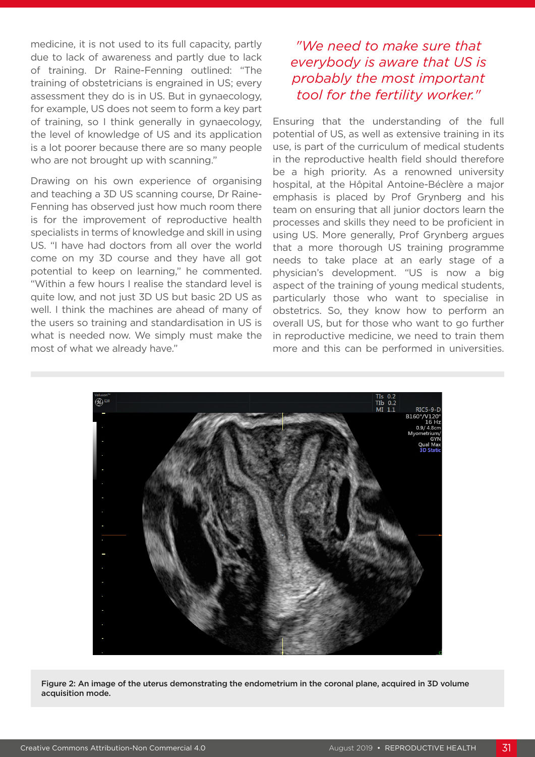medicine, it is not used to its full capacity, partly due to lack of awareness and partly due to lack of training. Dr Raine-Fenning outlined: "The training of obstetricians is engrained in US; every assessment they do is in US. But in gynaecology, for example, US does not seem to form a key part of training, so I think generally in gynaecology, the level of knowledge of US and its application is a lot poorer because there are so many people who are not brought up with scanning."

Drawing on his own experience of organising and teaching a 3D US scanning course, Dr Raine-Fenning has observed just how much room there is for the improvement of reproductive health specialists in terms of knowledge and skill in using US. "I have had doctors from all over the world come on my 3D course and they have all got potential to keep on learning," he commented. "Within a few hours I realise the standard level is quite low, and not just 3D US but basic 2D US as well. I think the machines are ahead of many of the users so training and standardisation in US is what is needed now. We simply must make the most of what we already have."

## *"We need to make sure that everybody is aware that US is probably the most important tool for the fertility worker."*

Ensuring that the understanding of the full potential of US, as well as extensive training in its use, is part of the curriculum of medical students in the reproductive health field should therefore be a high priority. As a renowned university hospital, at the Hôpital Antoine-Béclère a major emphasis is placed by Prof Grynberg and his team on ensuring that all junior doctors learn the processes and skills they need to be proficient in using US. More generally, Prof Grynberg argues that a more thorough US training programme needs to take place at an early stage of a physician's development. "US is now a big aspect of the training of young medical students, particularly those who want to specialise in obstetrics. So, they know how to perform an overall US, but for those who want to go further in reproductive medicine, we need to train them more and this can be performed in universities.



Figure 2: An image of the uterus demonstrating the endometrium in the coronal plane, acquired in 3D volume acquisition mode.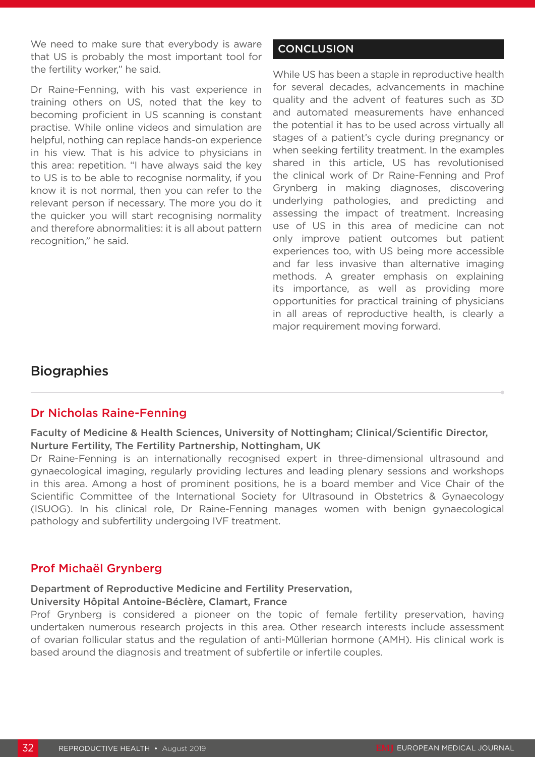We need to make sure that everybody is aware that US is probably the most important tool for the fertility worker," he said.

Dr Raine-Fenning, with his vast experience in training others on US, noted that the key to becoming proficient in US scanning is constant practise. While online videos and simulation are helpful, nothing can replace hands-on experience in his view. That is his advice to physicians in this area: repetition. "I have always said the key to US is to be able to recognise normality, if you know it is not normal, then you can refer to the relevant person if necessary. The more you do it the quicker you will start recognising normality and therefore abnormalities: it is all about pattern recognition," he said.

### **CONCLUSION**

While US has been a staple in reproductive health for several decades, advancements in machine quality and the advent of features such as 3D and automated measurements have enhanced the potential it has to be used across virtually all stages of a patient's cycle during pregnancy or when seeking fertility treatment. In the examples shared in this article, US has revolutionised the clinical work of Dr Raine-Fenning and Prof Grynberg in making diagnoses, discovering underlying pathologies, and predicting and assessing the impact of treatment. Increasing use of US in this area of medicine can not only improve patient outcomes but patient experiences too, with US being more accessible and far less invasive than alternative imaging methods. A greater emphasis on explaining its importance, as well as providing more opportunities for practical training of physicians in all areas of reproductive health, is clearly a major requirement moving forward.

### **Biographies**

### Dr Nicholas Raine-Fenning

### Faculty of Medicine & Health Sciences, University of Nottingham; Clinical/Scientific Director, Nurture Fertility, The Fertility Partnership, Nottingham, UK

Dr Raine-Fenning is an internationally recognised expert in three-dimensional ultrasound and gynaecological imaging, regularly providing lectures and leading plenary sessions and workshops in this area. Among a host of prominent positions, he is a board member and Vice Chair of the Scientific Committee of the International Society for Ultrasound in Obstetrics & Gynaecology (ISUOG). In his clinical role, Dr Raine-Fenning manages women with benign gynaecological pathology and subfertility undergoing IVF treatment.

### Prof Michaël Grynberg

#### Department of Reproductive Medicine and Fertility Preservation,

#### University Hôpital Antoine-Béclère, Clamart, France

Prof Grynberg is considered a pioneer on the topic of female fertility preservation, having undertaken numerous research projects in this area. Other research interests include assessment of ovarian follicular status and the regulation of anti-Müllerian hormone (AMH). His clinical work is based around the diagnosis and treatment of subfertile or infertile couples.